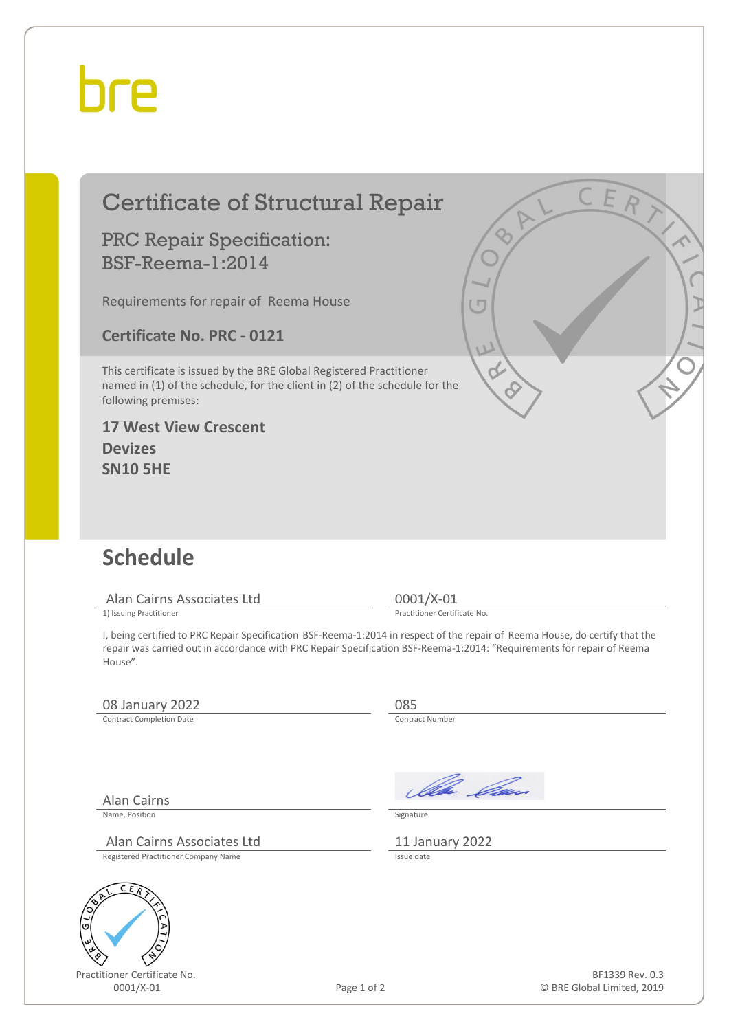## bre

|   | <b>Certificate of Structural Repair</b>                                                                                                                                                                                                                           | C E R                                         |
|---|-------------------------------------------------------------------------------------------------------------------------------------------------------------------------------------------------------------------------------------------------------------------|-----------------------------------------------|
|   | <b>PRC Repair Specification:</b><br><b>BSF-Reema-1:2014</b>                                                                                                                                                                                                       |                                               |
|   | Requirements for repair of Reema House                                                                                                                                                                                                                            | $\overline{C}$                                |
|   | <b>Certificate No. PRC - 0121</b>                                                                                                                                                                                                                                 | W                                             |
|   | This certificate is issued by the BRE Global Registered Practitioner<br>named in (1) of the schedule, for the client in (2) of the schedule for the<br>following premises:                                                                                        |                                               |
|   | <b>17 West View Crescent</b><br><b>Devizes</b><br><b>SN10 5HE</b>                                                                                                                                                                                                 |                                               |
|   |                                                                                                                                                                                                                                                                   |                                               |
|   | <b>Schedule</b>                                                                                                                                                                                                                                                   |                                               |
|   | Alan Cairns Associates Ltd<br>1) Issuing Practitioner                                                                                                                                                                                                             | $0001/X-01$<br>Practitioner Certificate No.   |
|   | I, being certified to PRC Repair Specification BSF-Reema-1:2014 in respect of the repair of Reema House, do certify that the<br>repair was carried out in accordance with PRC Repair Specification BSF-Reema-1:2014: "Requirements for repair of Reema<br>House". |                                               |
|   | 08 January 2022                                                                                                                                                                                                                                                   | 085                                           |
|   | <b>Contract Completion Date</b>                                                                                                                                                                                                                                   | Contract Number                               |
|   |                                                                                                                                                                                                                                                                   | Ma Can                                        |
|   | <b>Alan Cairns</b><br>Name, Position                                                                                                                                                                                                                              | Signature                                     |
|   | Alan Cairns Associates Ltd<br>Registered Practitioner Company Name                                                                                                                                                                                                | 11 January 2022<br>Issue date                 |
|   | CE                                                                                                                                                                                                                                                                |                                               |
| G |                                                                                                                                                                                                                                                                   |                                               |
|   | Practitioner Certificate No.<br>0001/X-01<br>Page 1 of 2                                                                                                                                                                                                          | BF1339 Rev. 0.3<br>© BRE Global Limited, 2019 |